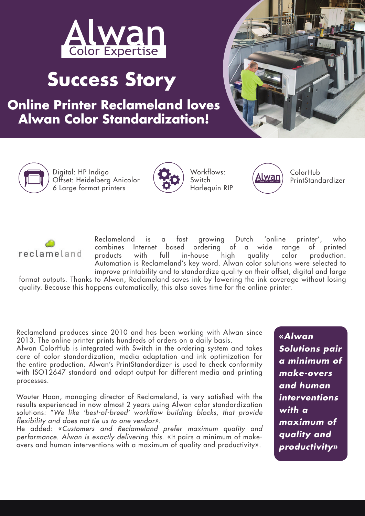

## **Success Story**

**Online Printer Reclameland loves Alwan Color Standardization!** 





Digital: HP Indigo Offset: Heidelberg Anicolor 6 Large format printers



Workflows: Switch Harlequin RIP



ColorHub PrintStandardizer



Reclameland is a fast growing Dutch 'online printer', who combines Internet based ordering of a wide range of printed products with full in-house high quality color production. Automation is Reclameland's key word. Alwan color solutions were selected to improve printability and to standardize quality on their offset, digital and large

format outputs. Thanks to Alwan, Reclameland saves ink by lowering the ink coverage without losing quality. Because this happens automatically, this also saves time for the online printer.

Reclameland produces since 2010 and has been working with Alwan since 2013. The online printer prints hundreds of orders on a daily basis.

Alwan ColorHub is integrated with Switch in the ordering system and takes care of color standardization, media adaptation and ink optimization for the entire production. Alwan's PrintStandardizer is used to check conformity with ISO12647 standard and adapt output for different media and printing processes.

Wouter Haan, managing director of Reclameland, is very satisfied with the results experienced in now almost 2 years using Alwan color standardization solutions: "*We like 'best-of-breed' workflow building blocks, that provide flexibility and does not tie us to one vendor».*

He added: «*Customers and Reclameland prefer maximum quality and performance. Alwan is exactly delivering this.* «It pairs a minimum of makeovers and human interventions with a maximum of quality and productivity».

**«***Alwan Solutions pair a minimum of make-overs and human interventions with a maximum of quality and productivity***»**